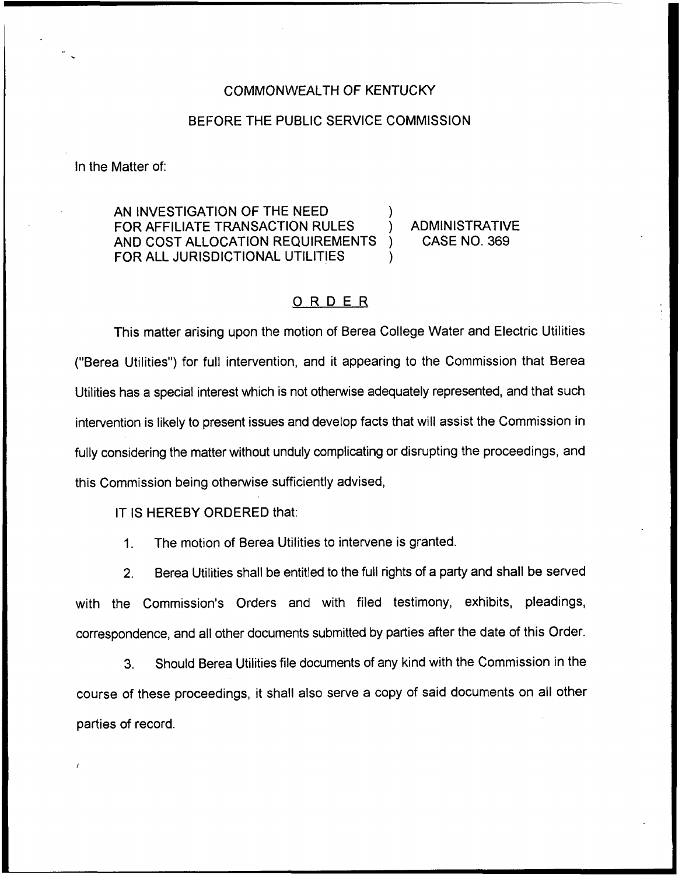## COMMONWEALTH OF KENTUCKY

## BEFORE THE PUBLIC SERVICE COMMISSION

In the Matter of:

AN INVESTIGATION OF THE NEED FOR AFFILIATE TRANSACTION RULES ) ADMINISTRATIVE AND COST ALLOCATION REQUIREMENTS FOR ALL JURISDICTIONAL UTILITIES

## ORDER

This matter arising upon the motion of Berea College Water and Electric Utilities ("Berea Utilities") for full intervention, and it appearing to the Commission that Berea Utilities has a special interest which is not otherwise adequately represented, and that such intervention is likely to present issues and develop facts that will assist the Commission in fully considering the matter without unduly complicating or disrupting the proceedings, and this Commission being otherwise sufficiently advised,

IT IS HEREBY ORDERED that:

1. The motion of Berea Utilities to intervene is granted.

2. Berea Utilities shall be entitled to the full rights of a party and shall be served with the Commission's Orders and with filed testimony, exhibits, pleadings, correspondence, and all other documents submitted by parties after the date of this Order.

3. Should Berea Utilities file documents of any kind with the Commission in the course of these proceedings, it shall also serve a copy of said documents on all other parties of record,